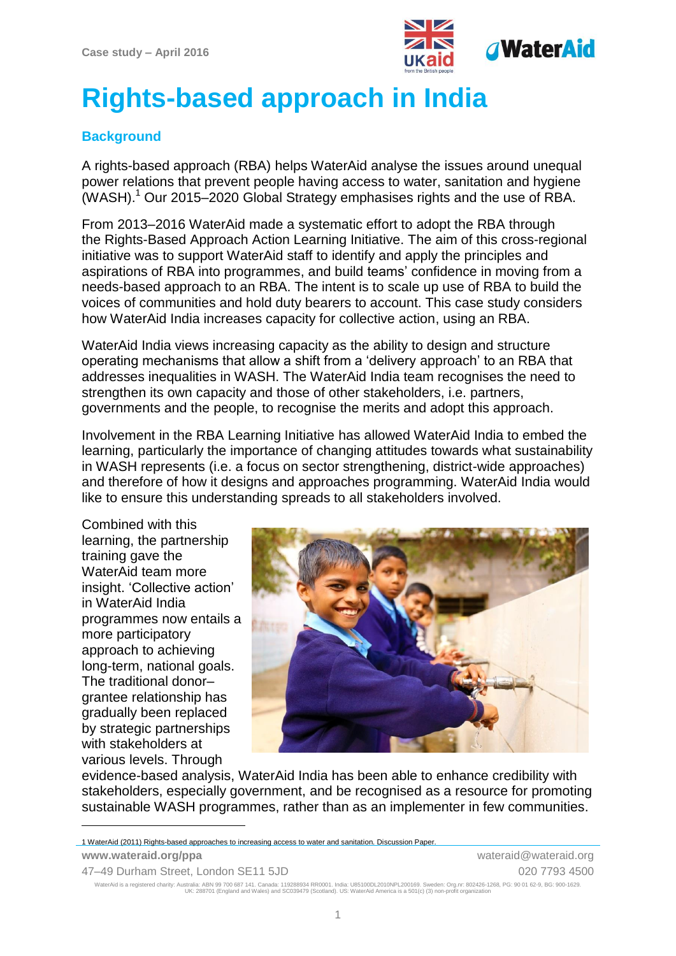

# **Rights-based approach in India**

# **Background**

A rights-based approach (RBA) helps WaterAid analyse the issues around unequal power relations that prevent people having access to water, sanitation and hygiene (WASH). <sup>1</sup> Our 2015–2020 Global Strategy emphasises rights and the use of RBA.

From 2013–2016 WaterAid made a systematic effort to adopt the RBA through the Rights-Based Approach Action Learning Initiative. The aim of this cross-regional initiative was to support WaterAid staff to identify and apply the principles and aspirations of RBA into programmes, and build teams' confidence in moving from a needs-based approach to an RBA. The intent is to scale up use of RBA to build the voices of communities and hold duty bearers to account. This case study considers how WaterAid India increases capacity for collective action, using an RBA.

WaterAid India views increasing capacity as the ability to design and structure operating mechanisms that allow a shift from a 'delivery approach' to an RBA that addresses inequalities in WASH. The WaterAid India team recognises the need to strengthen its own capacity and those of other stakeholders, i.e. partners, governments and the people, to recognise the merits and adopt this approach.

Involvement in the RBA Learning Initiative has allowed WaterAid India to embed the learning, particularly the importance of changing attitudes towards what sustainability in WASH represents (i.e. a focus on sector strengthening, district-wide approaches) and therefore of how it designs and approaches programming. WaterAid India would like to ensure this understanding spreads to all stakeholders involved.

Combined with this learning, the partnership training gave the WaterAid team more insight. 'Collective action' in WaterAid India programmes now entails a more participatory approach to achieving long-term, national goals. The traditional donor– grantee relationship has gradually been replaced by strategic partnerships with stakeholders at various levels. Through

1



evidence-based analysis, WaterAid India has been able to enhance credibility with stakeholders, especially government, and be recognised as a resource for promoting sustainable WASH programmes, rather than as an implementer in few communities.

| 1 WaterAid (2011) Rights-based approaches to increasing access to water and sanitation. Discussion Paper. |                       |
|-----------------------------------------------------------------------------------------------------------|-----------------------|
| www.wateraid.org/ppa                                                                                      | wateraid@wateraid.org |
| 47-49 Durham Street, London SE11 5JD                                                                      | 020 7793 4500         |

WaterAid is a registered charity: Australia: ABN 99 700 687 141. Canada: 119288934 RR0001. India: U85100DL2010NPL200169. Sweden: Org.nr: 802426-1268, PG: 90 01 62-9, BG: 900-1629.<br>UK: 288701 (England and Wales) and SC0394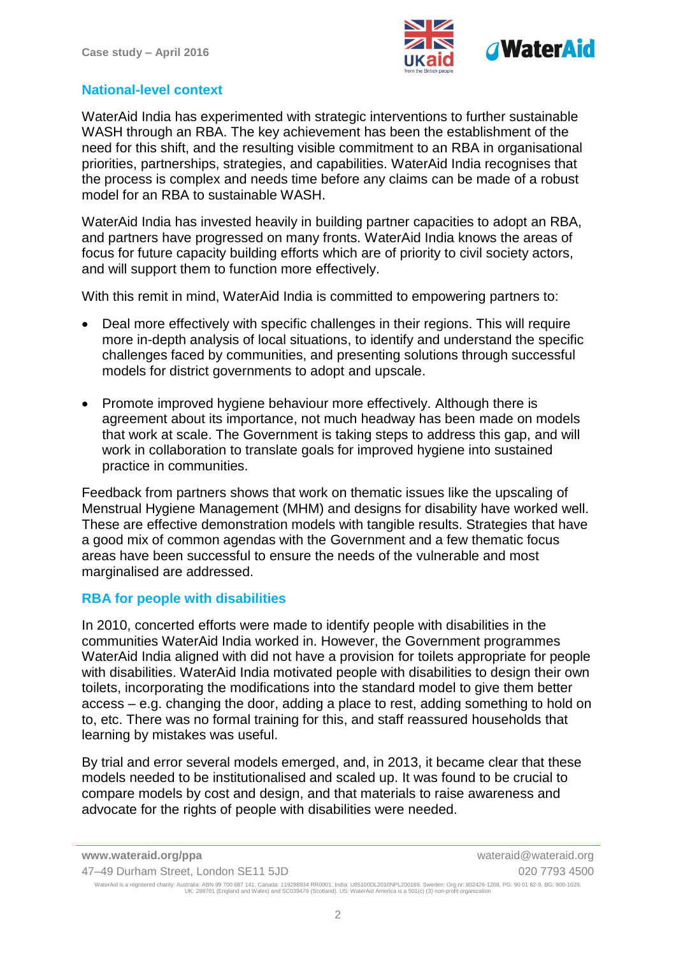

### **National-level context**

WaterAid India has experimented with strategic interventions to further sustainable WASH through an RBA. The key achievement has been the establishment of the need for this shift, and the resulting visible commitment to an RBA in organisational priorities, partnerships, strategies, and capabilities. WaterAid India recognises that the process is complex and needs time before any claims can be made of a robust model for an RBA to sustainable WASH.

WaterAid India has invested heavily in building partner capacities to adopt an RBA, and partners have progressed on many fronts. WaterAid India knows the areas of focus for future capacity building efforts which are of priority to civil society actors, and will support them to function more effectively.

With this remit in mind. WaterAid India is committed to empowering partners to:

- Deal more effectively with specific challenges in their regions. This will require more in-depth analysis of local situations, to identify and understand the specific challenges faced by communities, and presenting solutions through successful models for district governments to adopt and upscale.
- Promote improved hygiene behaviour more effectively. Although there is agreement about its importance, not much headway has been made on models that work at scale. The Government is taking steps to address this gap, and will work in collaboration to translate goals for improved hygiene into sustained practice in communities.

Feedback from partners shows that work on thematic issues like the upscaling of Menstrual Hygiene Management (MHM) and designs for disability have worked well. These are effective demonstration models with tangible results. Strategies that have a good mix of common agendas with the Government and a few thematic focus areas have been successful to ensure the needs of the vulnerable and most marginalised are addressed.

#### **RBA for people with disabilities**

In 2010, concerted efforts were made to identify people with disabilities in the communities WaterAid India worked in. However, the Government programmes WaterAid India aligned with did not have a provision for toilets appropriate for people with disabilities. WaterAid India motivated people with disabilities to design their own toilets, incorporating the modifications into the standard model to give them better access – e.g. changing the door, adding a place to rest, adding something to hold on to, etc. There was no formal training for this, and staff reassured households that learning by mistakes was useful.

By trial and error several models emerged, and, in 2013, it became clear that these models needed to be institutionalised and scaled up. It was found to be crucial to compare models by cost and design, and that materials to raise awareness and advocate for the rights of people with disabilities were needed.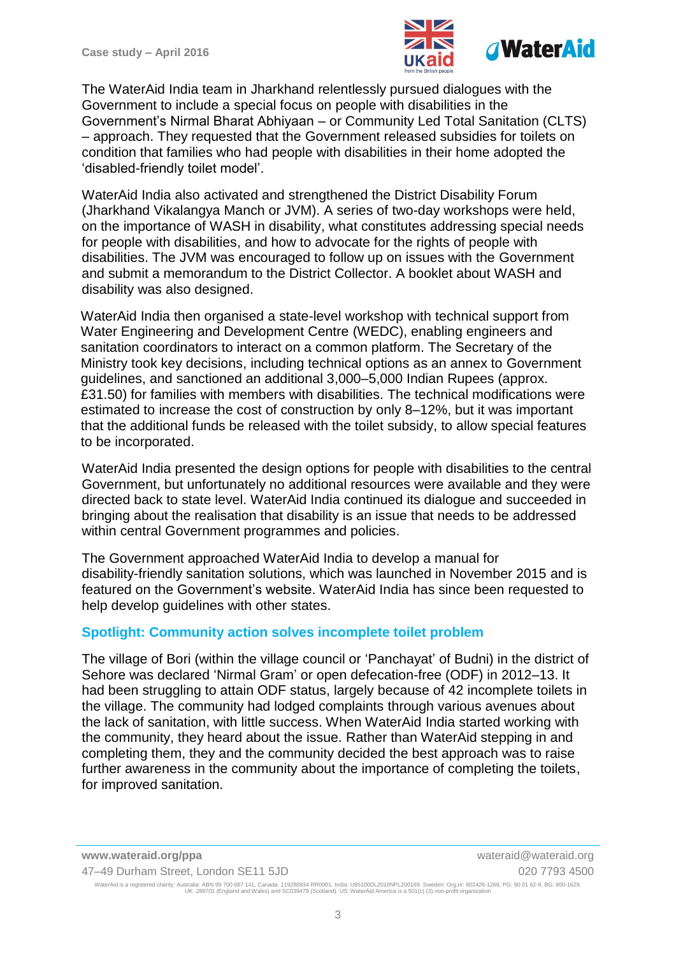

The WaterAid India team in Jharkhand relentlessly pursued dialogues with the Government to include a special focus on people with disabilities in the Government's Nirmal Bharat Abhiyaan – or Community Led Total Sanitation (CLTS) – approach. They requested that the Government released subsidies for toilets on condition that families who had people with disabilities in their home adopted the 'disabled-friendly toilet model'.

WaterAid India also activated and strengthened the District Disability Forum (Jharkhand Vikalangya Manch or JVM). A series of two-day workshops were held, on the importance of WASH in disability, what constitutes addressing special needs for people with disabilities, and how to advocate for the rights of people with disabilities. The JVM was encouraged to follow up on issues with the Government and submit a memorandum to the District Collector. A booklet about WASH and disability was also designed.

WaterAid India then organised a state-level workshop with technical support from Water Engineering and Development Centre (WEDC), enabling engineers and sanitation coordinators to interact on a common platform. The Secretary of the Ministry took key decisions, including technical options as an annex to Government guidelines, and sanctioned an additional 3,000–5,000 Indian Rupees (approx. £31.50) for families with members with disabilities. The technical modifications were estimated to increase the cost of construction by only 8–12%, but it was important that the additional funds be released with the toilet subsidy, to allow special features to be incorporated.

WaterAid India presented the design options for people with disabilities to the central Government, but unfortunately no additional resources were available and they were directed back to state level. WaterAid India continued its dialogue and succeeded in bringing about the realisation that disability is an issue that needs to be addressed within central Government programmes and policies.

The Government approached WaterAid India to develop a manual for disability-friendly sanitation solutions, which was launched in November 2015 and is featured on the Government's website. WaterAid India has since been requested to help develop guidelines with other states.

## **Spotlight: Community action solves incomplete toilet problem**

The village of Bori (within the village council or 'Panchayat' of Budni) in the district of Sehore was declared 'Nirmal Gram' or open defecation-free (ODF) in 2012–13. It had been struggling to attain ODF status, largely because of 42 incomplete toilets in the village. The community had lodged complaints through various avenues about the lack of sanitation, with little success. When WaterAid India started working with the community, they heard about the issue. Rather than WaterAid stepping in and completing them, they and the community decided the best approach was to raise further awareness in the community about the importance of completing the toilets, for improved sanitation.

**www.wateraid.org/ppa** wateraid@wateraid.org 47–49 Durham Street, London SE11 5JD 020 7793 4500 WaterAid is a registered charity: Australia: ABN 99 700 687 141. Canada: 119288934 RR0001. India: U85100DL2010NPL200169. Sweden: Org.nr: 802426-1268, PG: 90 01 62-9, BG: 900-1629.<br>UK: 288701 (England and Wales) and SC0394